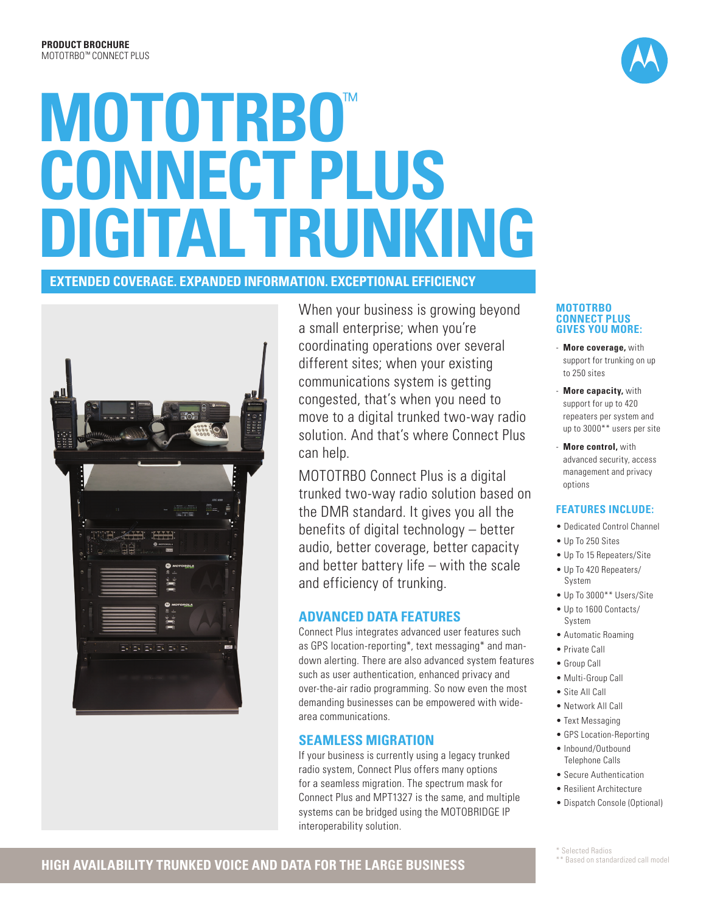# **MOTOTRBO**™ **CONNECT PLUS DIGITAL TRUNKING**

## **EXTENDED COVERAGE. EXPANDED INFORMATION. EXCEPTIONAL EFFICIENCY**



When your business is growing beyond a small enterprise; when you're coordinating operations over several different sites; when your existing communications system is getting congested, that's when you need to move to a digital trunked two-way radio solution. And that's where Connect Plus can help.

MOTOTRBO Connect Plus is a digital trunked two-way radio solution based on the DMR standard. It gives you all the benefits of digital technology – better audio, better coverage, better capacity and better battery life – with the scale and efficiency of trunking.

### **ADVANCED DATA FEATURES**

Connect Plus integrates advanced user features such as GPS location-reporting\*, text messaging\* and mandown alerting. There are also advanced system features such as user authentication, enhanced privacy and over-the-air radio programming. So now even the most demanding businesses can be empowered with widearea communications.

## **SEAMLESS MIGRATION**

If your business is currently using a legacy trunked radio system, Connect Plus offers many options for a seamless migration. The spectrum mask for Connect Plus and MPT1327 is the same, and multiple systems can be bridged using the MOTOBRIDGE IP interoperability solution.

#### **MOTOTRBO CONNECT PLUS GIVES YOU MORE:**

- **More coverage,** with support for trunking on up to 250 sites
- **More capacity, with** support for up to 420 repeaters per system and up to 3000\*\* users per site
- **More control, with** advanced security, access management and privacy options

#### **FEATURES INCLUDE:**

- Dedicated Control Channel
- Up To 250 Sites
- Up To 15 Repeaters/Site
- Up To 420 Repeaters/ System
- Up To 3000\*\* Users/Site
- Up to 1600 Contacts/ System
- Automatic Roaming
- Private Call
- Group Call
- Multi-Group Call
- Site All Call
- Network All Call
- Text Messaging
- GPS Location-Reporting
- Inbound/Outbound
- Telephone Calls • Secure Authentication
- Resilient Architecture
- Dispatch Console (Optional)

\*\* Based on standardized call model

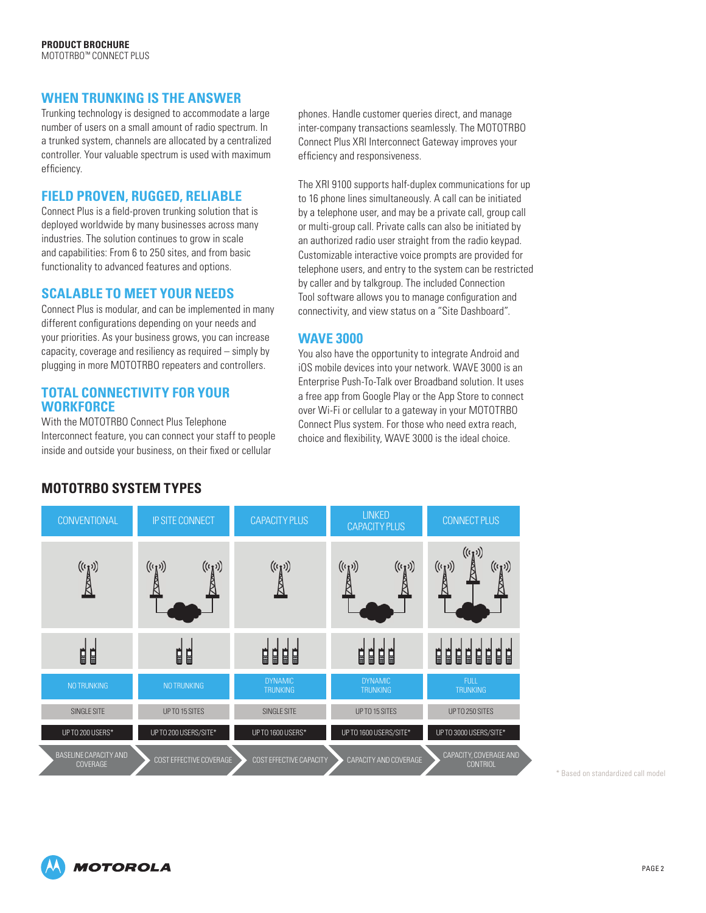#### **WHEN TRUNKING IS THE ANSWER**

Trunking technology is designed to accommodate a large number of users on a small amount of radio spectrum. In a trunked system, channels are allocated by a centralized controller. Your valuable spectrum is used with maximum efficiency.

#### **FIELD PROVEN, RUGGED, RELIABLE**

Connect Plus is a field-proven trunking solution that is deployed worldwide by many businesses across many industries. The solution continues to grow in scale and capabilities: From 6 to 250 sites, and from basic functionality to advanced features and options.

#### **SCALABLE TO MEET YOUR NEEDS**

Connect Plus is modular, and can be implemented in many different configurations depending on your needs and your priorities. As your business grows, you can increase capacity, coverage and resiliency as required – simply by plugging in more MOTOTRBO repeaters and controllers.

#### **TOTAL CONNECTIVITY FOR YOUR WORKFORCE**

With the MOTOTRBO Connect Plus Telephone Interconnect feature, you can connect your staff to people inside and outside your business, on their fixed or cellular

phones. Handle customer queries direct, and manage inter-company transactions seamlessly. The MOTOTRBO Connect Plus XRI Interconnect Gateway improves your efficiency and responsiveness.

The XRI 9100 supports half-duplex communications for up to 16 phone lines simultaneously. A call can be initiated by a telephone user, and may be a private call, group call or multi-group call. Private calls can also be initiated by an authorized radio user straight from the radio keypad. Customizable interactive voice prompts are provided for telephone users, and entry to the system can be restricted by caller and by talkgroup. The included Connection Tool software allows you to manage configuration and connectivity, and view status on a "Site Dashboard".

### **WAVE 3000**

You also have the opportunity to integrate Android and iOS mobile devices into your network. WAVE 3000 is an Enterprise Push-To-Talk over Broadband solution. It uses a free app from Google Play or the App Store to connect over Wi-Fi or cellular to a gateway in your MOTOTRBO Connect Plus system. For those who need extra reach, choice and flexibility, WAVE 3000 is the ideal choice.



\* Based on standardized call model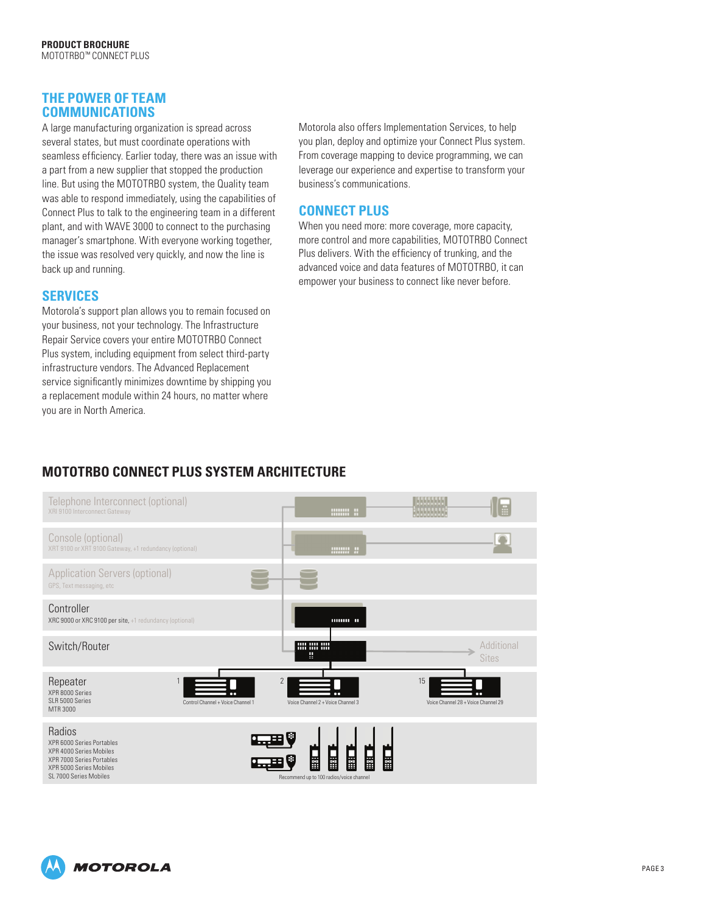#### **THE POWER OF TEAM COMMUNICATIONS**

A large manufacturing organization is spread across several states, but must coordinate operations with seamless efficiency. Earlier today, there was an issue with a part from a new supplier that stopped the production line. But using the MOTOTRBO system, the Quality team was able to respond immediately, using the capabilities of Connect Plus to talk to the engineering team in a different plant, and with [WAVE 3000](http://www.motorolasolutions.com/wave) to connect to the purchasing manager's smartphone. With everyone working together, the issue was resolved very quickly, and now the line is back up and running.

#### **SERVICES**

Motorola's support plan allows you to remain focused on your business, not your technology. The Infrastructure Repair Service covers your entire MOTOTRBO Connect Plus system, including equipment from select third-party infrastructure vendors. The Advanced Replacement service significantly minimizes downtime by shipping you a replacement module within 24 hours, no matter where you are in North America.

Motorola also offers Implementation Services, to help you plan, deploy and optimize your Connect Plus system. From coverage mapping to device programming, we can leverage our experience and expertise to transform your business's communications.

## **CONNECT PLUS**

When you need more: more coverage, more capacity, more control and more capabilities, MOTOTRBO Connect Plus delivers. With the efficiency of trunking, and the advanced voice and data features of MOTOTRBO, it can empower your business to connect like never before.

## **MOTOTRBO CONNECT PLUS SYSTEM ARCHITECTURE**